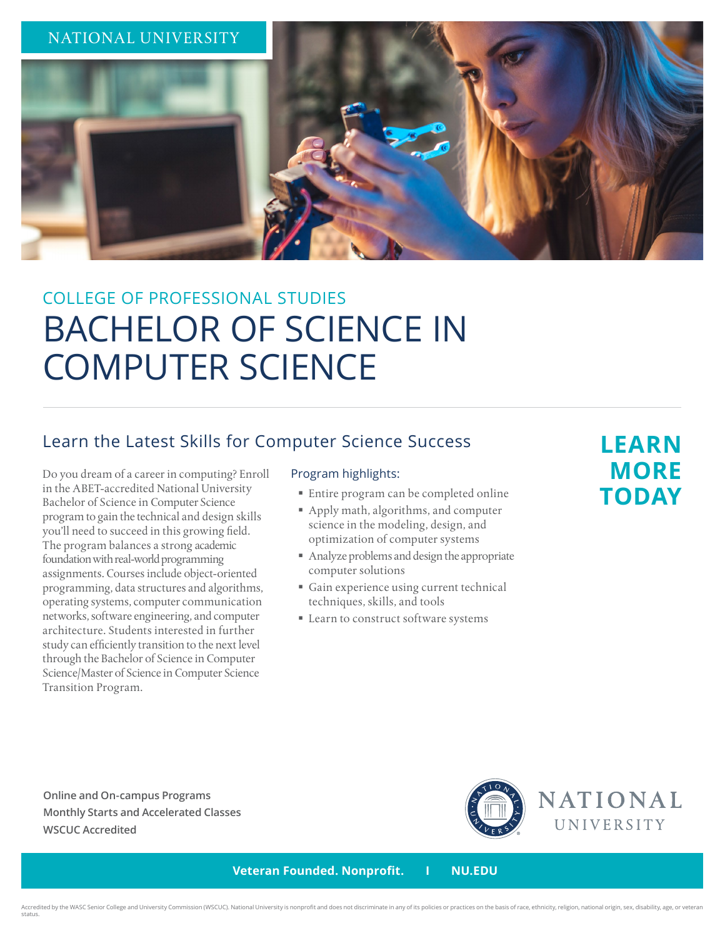

# COLLEGE OF PROFESSIONAL STUDIES BACHELOR OF SCIENCE IN COMPUTER SCIENCE

### Learn the Latest Skills for Computer Science Success

Do you dream of a career in computing? Enroll in the ABET-accredited National University Bachelor of Science in Computer Science program to gain the technical and design skills you'll need to succeed in this growing field. The program balances a strong academic foundation with real-world programming assignments. Courses include object-oriented programming, data structures and algorithms, operating systems, computer communication networks, software engineering, and computer architecture. Students interested in further study can efficiently transition to the next level through the Bachelor of Science in Computer Science/Master of Science in Computer Science Transition Program.

#### Program highlights:

- Entire program can be completed online
- Apply math, algorithms, and computer science in the modeling, design, and optimization of computer systems
- Analyze problems and design the appropriate computer solutions
- Gain experience using current technical techniques, skills, and tools
- **Learn to construct software systems**

## **LEARN MORE TODAY**

**Online and On-campus Programs Monthly Starts and Accelerated Classes WSCUC Accredited**



 **Veteran Founded. Nonprofit. I NU.EDU**

Accredited by the WASC Senior College and University Commission (WSCUC). National University is nonprofit and does not discriminate in any of its policies or practices on the basis of race, ethnicity, religion, national or status.